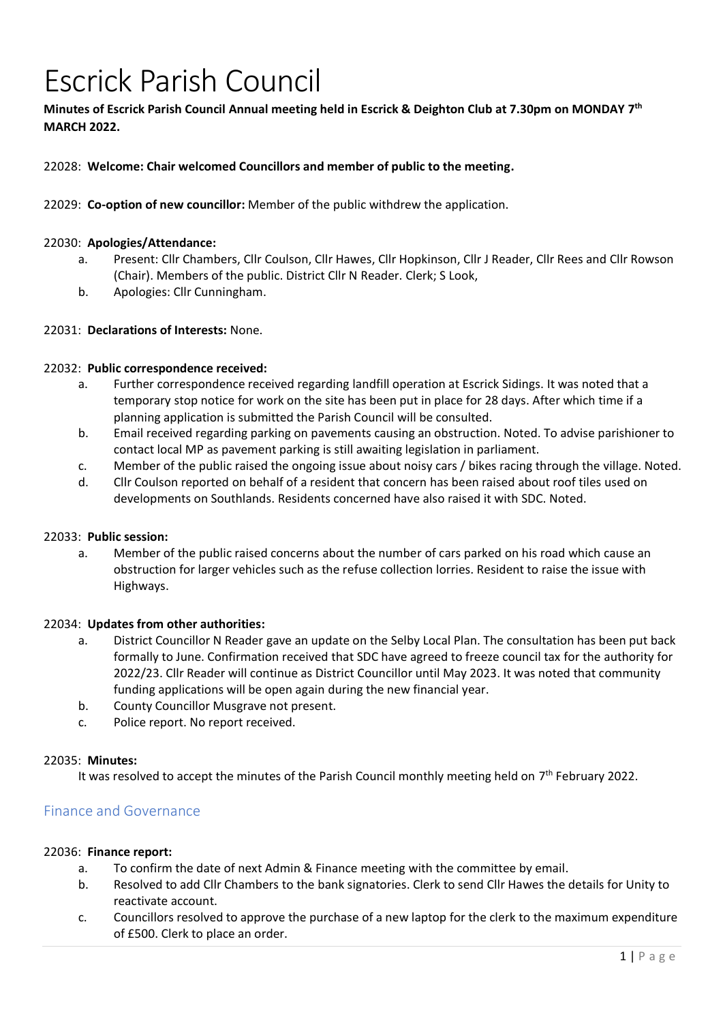# Escrick Parish Council

**Minutes of Escrick Parish Council Annual meeting held in Escrick & Deighton Club at 7.30pm on MONDAY 7 th MARCH 2022.** 

## 22028: **Welcome: Chair welcomed Councillors and member of public to the meeting.**

## 22029: **Co-option of new councillor:** Member of the public withdrew the application.

## 22030: **Apologies/Attendance:**

- a. Present: Cllr Chambers, Cllr Coulson, Cllr Hawes, Cllr Hopkinson, Cllr J Reader, Cllr Rees and Cllr Rowson (Chair). Members of the public. District Cllr N Reader. Clerk; S Look,
- b. Apologies: Cllr Cunningham.

## 22031: **Declarations of Interests:** None.

## 22032: **Public correspondence received:**

- a. Further correspondence received regarding landfill operation at Escrick Sidings. It was noted that a temporary stop notice for work on the site has been put in place for 28 days. After which time if a planning application is submitted the Parish Council will be consulted.
- b. Email received regarding parking on pavements causing an obstruction. Noted. To advise parishioner to contact local MP as pavement parking is still awaiting legislation in parliament.
- c. Member of the public raised the ongoing issue about noisy cars / bikes racing through the village. Noted.
- d. Cllr Coulson reported on behalf of a resident that concern has been raised about roof tiles used on developments on Southlands. Residents concerned have also raised it with SDC. Noted.

## 22033: **Public session:**

a. Member of the public raised concerns about the number of cars parked on his road which cause an obstruction for larger vehicles such as the refuse collection lorries. Resident to raise the issue with Highways.

## 22034: **Updates from other authorities:**

- a. District Councillor N Reader gave an update on the Selby Local Plan. The consultation has been put back formally to June. Confirmation received that SDC have agreed to freeze council tax for the authority for 2022/23. Cllr Reader will continue as District Councillor until May 2023. It was noted that community funding applications will be open again during the new financial year.
- b. County Councillor Musgrave not present.
- c. Police report. No report received.

## 22035: **Minutes:**

It was resolved to accept the minutes of the Parish Council monthly meeting held on  $7<sup>th</sup>$  February 2022.

## Finance and Governance

## 22036: **Finance report:**

- a. To confirm the date of next Admin & Finance meeting with the committee by email.
- b. Resolved to add Cllr Chambers to the bank signatories. Clerk to send Cllr Hawes the details for Unity to reactivate account.
- c. Councillors resolved to approve the purchase of a new laptop for the clerk to the maximum expenditure of £500. Clerk to place an order.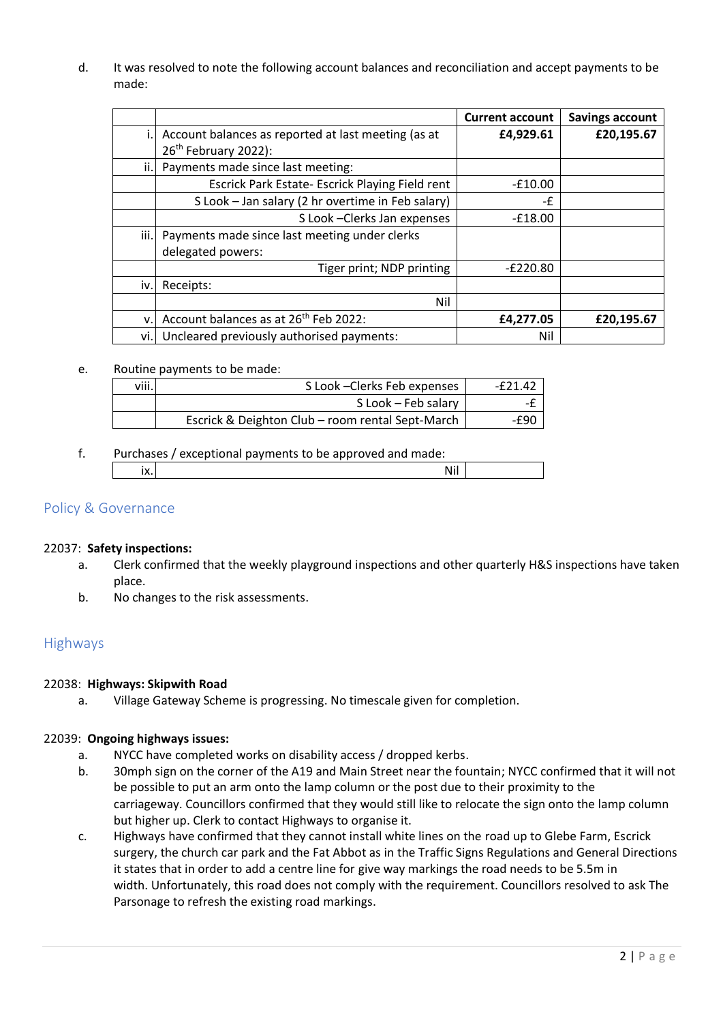d. It was resolved to note the following account balances and reconciliation and accept payments to be made:

|      |                                                     | <b>Current account</b>  | <b>Savings account</b> |  |
|------|-----------------------------------------------------|-------------------------|------------------------|--|
| ı.   | Account balances as reported at last meeting (as at | £4,929.61<br>£20,195.67 |                        |  |
|      | 26 <sup>th</sup> February 2022):                    |                         |                        |  |
| ii.  | Payments made since last meeting:                   |                         |                        |  |
|      | Escrick Park Estate- Escrick Playing Field rent     | $-£10.00$               |                        |  |
|      | S Look - Jan salary (2 hr overtime in Feb salary)   | -£                      |                        |  |
|      | S Look - Clerks Jan expenses                        | $-£18.00$               |                        |  |
| iii. | Payments made since last meeting under clerks       |                         |                        |  |
|      | delegated powers:                                   |                         |                        |  |
|      | Tiger print; NDP printing                           | $-E220.80$              |                        |  |
| iv.  | Receipts:                                           |                         |                        |  |
|      | Nil                                                 |                         |                        |  |
| v.   | Account balances as at 26 <sup>th</sup> Feb 2022:   | £4,277.05               | £20,195.67             |  |
| vi.  | Uncleared previously authorised payments:           | Nil                     |                        |  |

#### e. Routine payments to be made:

| viii. | S Look - Clerks Feb expenses                     | -f21.42 |
|-------|--------------------------------------------------|---------|
|       | S Look – Feb salary                              |         |
|       | Escrick & Deighton Club - room rental Sept-March | -£90    |

## f. Purchases / exceptional payments to be approved and made:

| $\sim$ $\sim$<br>$\sqrt{ }$<br> |  |  |  |
|---------------------------------|--|--|--|
|                                 |  |  |  |

## Policy & Governance

#### 22037: **Safety inspections:**

- a. Clerk confirmed that the weekly playground inspections and other quarterly H&S inspections have taken place.
- b. No changes to the risk assessments.

## Highways

#### 22038: **Highways: Skipwith Road**

a. Village Gateway Scheme is progressing. No timescale given for completion.

#### 22039: **Ongoing highways issues:**

- a. NYCC have completed works on disability access / dropped kerbs.
- b. 30mph sign on the corner of the A19 and Main Street near the fountain; NYCC confirmed that it will not be possible to put an arm onto the lamp column or the post due to their proximity to the carriageway. Councillors confirmed that they would still like to relocate the sign onto the lamp column but higher up. Clerk to contact Highways to organise it.
- c. Highways have confirmed that they cannot install white lines on the road up to Glebe Farm, Escrick surgery, the church car park and the Fat Abbot as in the Traffic Signs Regulations and General Directions it states that in order to add a centre line for give way markings the road needs to be 5.5m in width. Unfortunately, this road does not comply with the requirement. Councillors resolved to ask The Parsonage to refresh the existing road markings.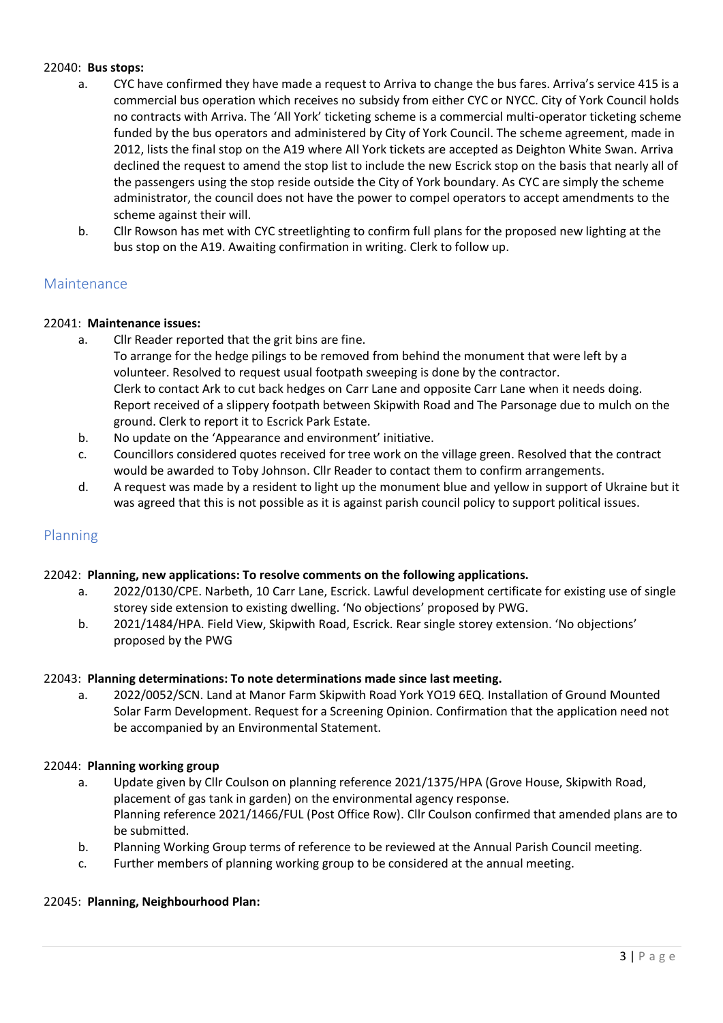## 22040: **Bus stops:**

- a. CYC have confirmed they have made a request to Arriva to change the bus fares. Arriva's service 415 is a commercial bus operation which receives no subsidy from either CYC or NYCC. City of York Council holds no contracts with Arriva. The 'All York' ticketing scheme is a commercial multi-operator ticketing scheme funded by the bus operators and administered by City of York Council. The scheme agreement, made in 2012, lists the final stop on the A19 where All York tickets are accepted as Deighton White Swan. Arriva declined the request to amend the stop list to include the new Escrick stop on the basis that nearly all of the passengers using the stop reside outside the City of York boundary. As CYC are simply the scheme administrator, the council does not have the power to compel operators to accept amendments to the scheme against their will.
- b. Cllr Rowson has met with CYC streetlighting to confirm full plans for the proposed new lighting at the bus stop on the A19. Awaiting confirmation in writing. Clerk to follow up.

# Maintenance

## 22041: **Maintenance issues:**

- a. Cllr Reader reported that the grit bins are fine. To arrange for the hedge pilings to be removed from behind the monument that were left by a volunteer. Resolved to request usual footpath sweeping is done by the contractor. Clerk to contact Ark to cut back hedges on Carr Lane and opposite Carr Lane when it needs doing. Report received of a slippery footpath between Skipwith Road and The Parsonage due to mulch on the ground. Clerk to report it to Escrick Park Estate.
- b. No update on the 'Appearance and environment' initiative.
- c. Councillors considered quotes received for tree work on the village green. Resolved that the contract would be awarded to Toby Johnson. Cllr Reader to contact them to confirm arrangements.
- d. A request was made by a resident to light up the monument blue and yellow in support of Ukraine but it was agreed that this is not possible as it is against parish council policy to support political issues.

## Planning

## 22042: **Planning, new applications: To resolve comments on the following applications.**

- a. 2022/0130/CPE. Narbeth, 10 Carr Lane, Escrick. Lawful development certificate for existing use of single storey side extension to existing dwelling. 'No objections' proposed by PWG.
- b. 2021/1484/HPA. Field View, Skipwith Road, Escrick. Rear single storey extension. 'No objections' proposed by the PWG

## 22043: **Planning determinations: To note determinations made since last meeting.**

a. 2022/0052/SCN. Land at Manor Farm Skipwith Road York YO19 6EQ. Installation of Ground Mounted Solar Farm Development. Request for a Screening Opinion. Confirmation that the application need not be accompanied by an Environmental Statement.

## 22044: **Planning working group**

- a. Update given by Cllr Coulson on planning reference 2021/1375/HPA (Grove House, Skipwith Road, placement of gas tank in garden) on the environmental agency response. Planning reference 2021/1466/FUL (Post Office Row). Cllr Coulson confirmed that amended plans are to be submitted.
- b. Planning Working Group terms of reference to be reviewed at the Annual Parish Council meeting.
- c. Further members of planning working group to be considered at the annual meeting.

## 22045: **Planning, Neighbourhood Plan:**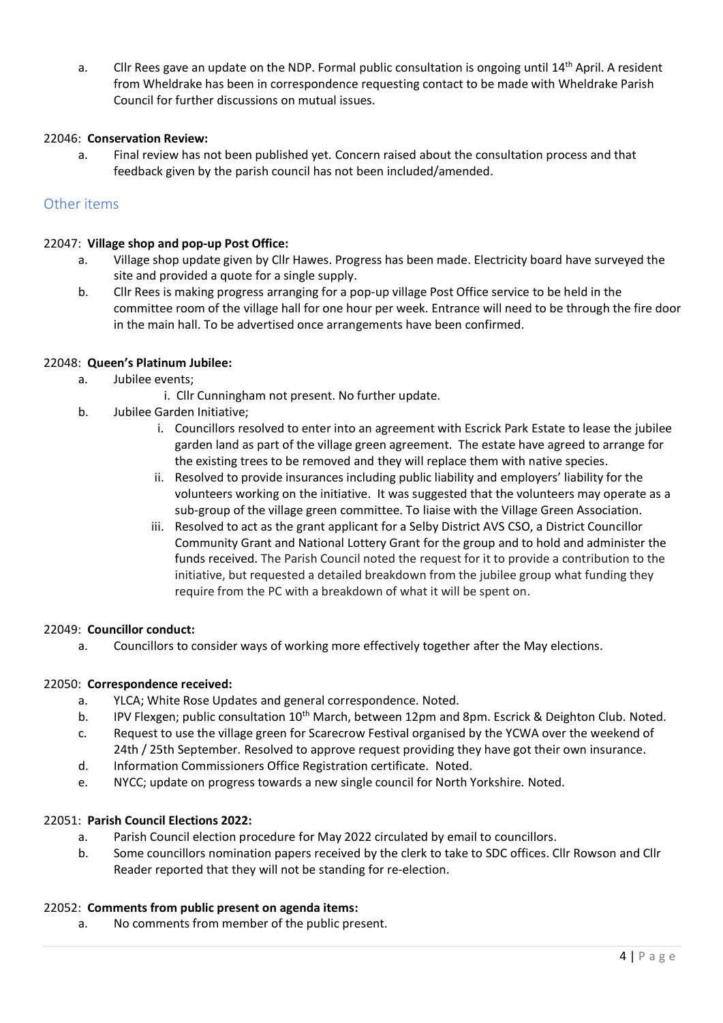a. Cllr Rees gave an update on the NDP. Formal public consultation is ongoing until  $14<sup>th</sup>$  April. A resident from Wheldrake has been in correspondence requesting contact to be made with Wheldrake Parish Council for further discussions on mutual issues.

## 22046: **Conservation Review:**

a. Final review has not been published yet. Concern raised about the consultation process and that feedback given by the parish council has not been included/amended.

# Other items

## 22047: **Village shop and pop-up Post Office:**

- a. Village shop update given by Cllr Hawes. Progress has been made. Electricity board have surveyed the site and provided a quote for a single supply.
- b. Cllr Rees is making progress arranging for a pop-up village Post Office service to be held in the committee room of the village hall for one hour per week. Entrance will need to be through the fire door in the main hall. To be advertised once arrangements have been confirmed.

## 22048: **Queen's Platinum Jubilee:**

- a. Jubilee events;
	- i. Cllr Cunningham not present. No further update.
- b. Jubilee Garden Initiative;
	- i. Councillors resolved to enter into an agreement with Escrick Park Estate to lease the jubilee garden land as part of the village green agreement. The estate have agreed to arrange for the existing trees to be removed and they will replace them with native species.
	- ii. Resolved to provide insurances including public liability and employers' liability for the volunteers working on the initiative. It was suggested that the volunteers may operate as a sub-group of the village green committee. To liaise with the Village Green Association.
	- iii. Resolved to act as the grant applicant for a Selby District AVS CSO, a District Councillor Community Grant and National Lottery Grant for the group and to hold and administer the funds received. The Parish Council noted the request for it to provide a contribution to the initiative, but requested a detailed breakdown from the jubilee group what funding they require from the PC with a breakdown of what it will be spent on.

## 22049: **Councillor conduct:**

a. Councillors to consider ways of working more effectively together after the May elections.

## 22050: **Correspondence received:**

- a. YLCA; White Rose Updates and general correspondence. Noted.
- b. IPV Flexgen; public consultation 10<sup>th</sup> March, between 12pm and 8pm. Escrick & Deighton Club. Noted.
- c. Request to use the village green for Scarecrow Festival organised by the YCWA over the weekend of 24th / 25th September. Resolved to approve request providing they have got their own insurance.
- d. Information Commissioners Office Registration certificate. Noted.
- e. NYCC; update on progress towards a new single council for North Yorkshire. Noted.

## 22051: **Parish Council Elections 2022:**

- a. Parish Council election procedure for May 2022 circulated by email to councillors.
- b. Some councillors nomination papers received by the clerk to take to SDC offices. Cllr Rowson and Cllr Reader reported that they will not be standing for re-election.

## 22052: **Comments from public present on agenda items:**

a. No comments from member of the public present.